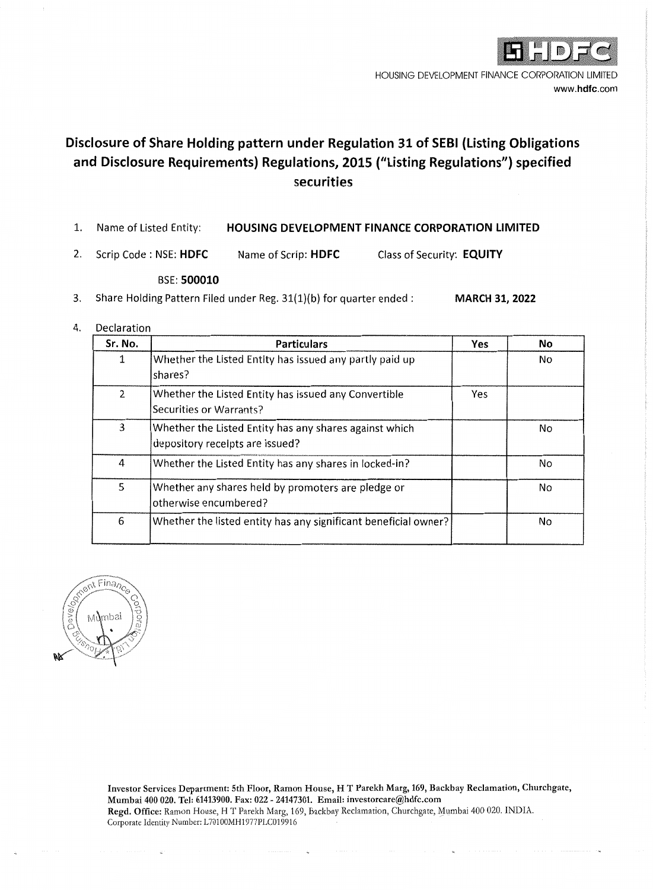

HOUSING DEVELOPMENT FINANCE CORPORATION LIMITED www.hdfc.com

# Disclosure of Share Holding pattern under Regulation 31 of SEBI (Listing Obligations and Disclosure Requirements) Regulations, 2015 ("Listing Regulations") specified securities

- 1. Name of Listed Entity: HOUSING DEVELOPMENT FINANCE CORPORATION LIMITED
- $2.$ Scrip Code: NSE: HDFC Name of Scrip: HDFC Class of Security: EQUITY

#### **BSE: 500010**

Share Holding Pattern Filed under Reg. 31(1)(b) for quarter ended :  $3.$ **MARCH 31, 2022** 

#### $\overline{4}$ . Declaration

| Sr. No. | <b>Particulars</b>                                                                        | Yes | No |
|---------|-------------------------------------------------------------------------------------------|-----|----|
| 1       | Whether the Listed Entity has issued any partly paid up<br>shares?                        |     | No |
| 2       | Whether the Listed Entity has issued any Convertible<br>Securities or Warrants?           | Yes |    |
| 3       | Whether the Listed Entity has any shares against which<br>depository recelpts are Issued? |     | No |
| 4       | Whether the Listed Entity has any shares in locked-in?                                    |     | No |
| 5       | Whether any shares held by promoters are pledge or<br>otherwise encumbered?               |     | No |
| 6       | Whether the listed entity has any significant beneficial owner?                           |     | No |



Investor Services Department: 5th Floor, Ramon House, H T Parekh Marg, 169, Backbay Reclamation, Churchgate, Mumbai 400 020. Tel: 61413900. Fax: 022 - 24147301. Email: investorcare@hdfc.com Regd. Office: Ramon House, H T Parekh Marg, 169, Backbay Reclamation, Churchgate, Mumbai 400 020. INDIA. Corporate Identity Number: L70100MH1977PLC019916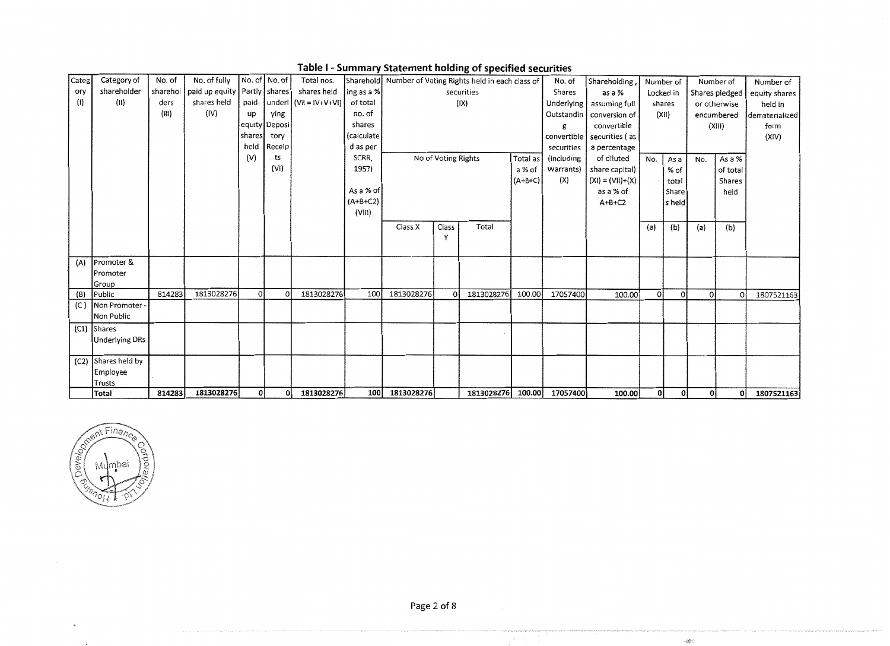| Categl | Category of            | No. of   | No. of fully   |              | No. of No. of   | Total nos.                           |            |                |                     | Sharehold Number of Voting Rights held in each class of |           | No. of          | Shareholding,              |              | Number of |     | Number of      | Number of      |
|--------|------------------------|----------|----------------|--------------|-----------------|--------------------------------------|------------|----------------|---------------------|---------------------------------------------------------|-----------|-----------------|----------------------------|--------------|-----------|-----|----------------|----------------|
| ory    | shareholder            | sharehol | paid up equity |              | Partly   shares | shares held                          | ing as a % |                |                     | securities                                              |           | Shares          | as a %                     |              | Locked in |     | Shares pledged | equity shares  |
| (1)    | (II)                   | ders     | shares held    |              |                 | paid- $ $ underl $ $ (VII = IV+V+VI) | of total   |                |                     | (IX)                                                    |           | Underlying      | assuming full              |              | shares    |     | or otherwise   | held in        |
|        |                        | (iii)    | (IV)           | up           | ying            |                                      | no. of     |                |                     |                                                         |           | Outstandin      | conversion of              |              | (X 1)     |     | encumbered     | dematerialized |
|        |                        |          |                |              | equity Deposi   |                                      | shares     |                |                     |                                                         |           | g               | convertible                |              |           |     | (XIII)         | form           |
|        |                        |          |                | shares       | tory            |                                      | (calculate |                |                     |                                                         |           |                 | convertible securities (as |              |           |     |                | (XIV)          |
|        |                        |          |                | held         | Receip          |                                      | d as per   |                |                     |                                                         |           | securities      | a percentage               |              |           |     |                |                |
|        |                        |          |                | (V)          | ts              |                                      | SCRR,      |                | No of Voting Rights |                                                         | Total as  | (including      | of diluted                 | No.          | As a      | No. | As a %         |                |
|        |                        |          |                |              | (VI)            |                                      | 1957)      |                |                     |                                                         | a % of    | Warrants)       | share capital)             |              | % of      |     | of total       |                |
|        |                        |          |                |              |                 |                                      |            |                |                     |                                                         | $(A+B+C)$ | (X)             | $(XI) = (VII)+(X)$         |              | total     |     | Shares         |                |
|        |                        |          |                |              |                 |                                      | As a % of  |                |                     |                                                         |           |                 | as a % of                  |              | Share     |     | held           |                |
|        |                        |          |                |              |                 |                                      | $(A+B+C2)$ |                |                     |                                                         |           |                 | $A+B+C2$                   |              | s held    |     |                |                |
|        |                        |          |                |              |                 |                                      | (VIII)     |                |                     |                                                         |           |                 |                            |              |           |     |                |                |
|        |                        |          |                |              |                 |                                      |            | Class X        | Class               | Total                                                   |           |                 |                            | (a)          | (b)       | (a) | (b)            |                |
|        |                        |          |                |              |                 |                                      |            |                | Y                   |                                                         |           |                 |                            |              |           |     |                |                |
|        |                        |          |                |              |                 |                                      |            |                |                     |                                                         |           |                 |                            |              |           |     |                |                |
| (A)    | Promoter &             |          |                |              |                 |                                      |            |                |                     |                                                         |           |                 |                            |              |           |     |                |                |
|        | <b>IPromoter</b>       |          |                |              |                 |                                      |            |                |                     |                                                         |           |                 |                            |              |           |     |                |                |
|        | Group                  |          |                |              |                 |                                      |            |                |                     |                                                         |           |                 |                            |              |           |     |                |                |
| (B)    | Public                 | 814283   | 1813028276     | <sup>o</sup> | ΩI              | 1813028276                           | 100        | 1813028276     |                     | 1813028276                                              | 100.00    | 17057400        | 100.00                     | <sup>0</sup> | $\Omega$  | ΟÌ  | $\Omega$       | 1807521163     |
| (C)    | Non Promoter -         |          |                |              |                 |                                      |            |                |                     |                                                         |           |                 |                            |              |           |     |                |                |
|        | Non Public             |          |                |              |                 |                                      |            |                |                     |                                                         |           |                 |                            |              |           |     |                |                |
|        | $(C1)$ Shares          |          |                |              |                 |                                      |            |                |                     |                                                         |           |                 |                            |              |           |     |                |                |
|        | <b>Underlying DRs</b>  |          |                |              |                 |                                      |            |                |                     |                                                         |           |                 |                            |              |           |     |                |                |
|        |                        |          |                |              |                 |                                      |            |                |                     |                                                         |           |                 |                            |              |           |     |                |                |
|        | (C2) Shares held by    |          |                |              |                 |                                      |            |                |                     |                                                         |           |                 |                            |              |           |     |                |                |
|        | Employee               |          |                |              |                 |                                      |            |                |                     |                                                         |           |                 |                            |              |           |     |                |                |
|        | Trusts<br><b>Total</b> | 814283   | 1813028276     | οl           | οl              | 1813028276                           |            | 100 1813028276 |                     | 1813028276                                              |           | 100.00 17057400 | 100.00                     | οl           | οl        | 0   | οl             | 1807521163     |

Table I - Summary Statement holding of specified securities



 $\hat{\mathcal{P}}$ 

 $\epsilon$ 

Page 2 of 8

 $\mathcal{R}^{\mathbb{C}}$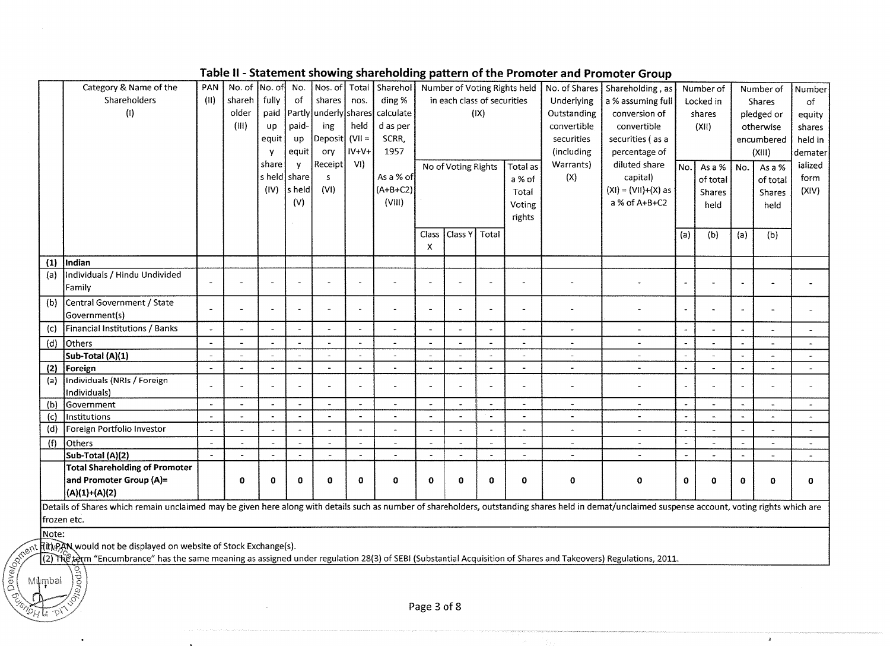|       | Category & Name of the                                                                                                                                                                             | PAN                      | No. of                | No. of                | No.           |                       |                          | Nos. of Total Sharehol |                          |                             |      | Number of Voting Rights held | No. of Shares            | Shareholding, as      |                          | Number of |          | Number of       | Number               |
|-------|----------------------------------------------------------------------------------------------------------------------------------------------------------------------------------------------------|--------------------------|-----------------------|-----------------------|---------------|-----------------------|--------------------------|------------------------|--------------------------|-----------------------------|------|------------------------------|--------------------------|-----------------------|--------------------------|-----------|----------|-----------------|----------------------|
|       | Shareholders                                                                                                                                                                                       | (11)                     | shareh                | fully                 | <sub>of</sub> | shares                | nos.                     | ding %                 |                          | in each class of securities |      |                              | Underlying               | a % assuming full     |                          | Locked in |          | <b>Shares</b>   | $\circ$ f            |
|       | (1)                                                                                                                                                                                                |                          | older                 | paid                  |               | Partly underly shares |                          | calculate              |                          |                             | (IX) |                              | Outstanding              | conversion of         |                          | shares    |          | pledged or      | equity               |
|       |                                                                                                                                                                                                    |                          | (III)                 | up                    | paid-         | ing                   | held                     | d as per               |                          |                             |      |                              | convertible              | convertible           |                          | (XII)     |          | otherwise       | shares               |
|       |                                                                                                                                                                                                    |                          |                       | equit                 | up            | Deposit               | $(VII =$                 | SCRR.                  |                          |                             |      |                              | securities               | securities (as a      |                          |           |          | encumbered      | held in              |
|       |                                                                                                                                                                                                    |                          |                       | Y                     | equit         | ory                   | $IV+V+$                  | 1957                   |                          |                             |      |                              | (including               | percentage of         |                          |           |          | (XIII)          | demater              |
|       |                                                                                                                                                                                                    |                          |                       | share                 | y             | <b>Receipt</b>        | VI)                      |                        |                          | No of Voting Rights         |      | Total as                     | Warrants)                | diluted share         | No.                      | As a %    | No.      | As a $\sqrt{8}$ | ialized              |
|       |                                                                                                                                                                                                    |                          |                       |                       | s held share  | s.                    |                          | As a % of              |                          |                             |      | a % of                       | (X)                      | capital)              |                          | of total  |          | of total        | form                 |
|       |                                                                                                                                                                                                    |                          |                       | (IV)                  | s held        | (VI)                  |                          | $(A+B+C2)$             |                          |                             |      | Total                        |                          | $(XI) = (VII)+(X)$ as |                          |           |          |                 | (XIV)                |
|       |                                                                                                                                                                                                    |                          |                       |                       | (V)           |                       |                          | (VIII)                 |                          |                             |      |                              |                          | a % of $A+B+C2$       |                          | Shares    |          | Shares          |                      |
|       |                                                                                                                                                                                                    |                          |                       |                       |               |                       |                          |                        |                          |                             |      | Voting                       |                          |                       |                          | held      |          | held            |                      |
|       |                                                                                                                                                                                                    |                          |                       |                       |               |                       |                          |                        |                          |                             |      | rights                       |                          |                       |                          |           |          |                 |                      |
|       |                                                                                                                                                                                                    |                          |                       |                       |               |                       |                          |                        | Class                    | Class Y   Total             |      |                              |                          |                       | (a)                      | (b)       | (a)      | (b)             |                      |
|       |                                                                                                                                                                                                    |                          |                       |                       |               |                       |                          |                        | X                        |                             |      |                              |                          |                       |                          |           |          |                 |                      |
| (1)   | Indian                                                                                                                                                                                             |                          |                       |                       |               |                       |                          |                        |                          |                             |      |                              |                          |                       |                          |           |          |                 |                      |
| (a)   | Individuals / Hindu Undivided                                                                                                                                                                      |                          |                       |                       |               |                       |                          |                        |                          |                             |      |                              |                          |                       |                          |           |          |                 |                      |
|       | Family                                                                                                                                                                                             | $\tilde{\phantom{a}}$    |                       |                       |               |                       |                          |                        |                          |                             |      |                              |                          |                       |                          |           |          |                 |                      |
| (b)   | Central Government / State                                                                                                                                                                         | $\overline{\phantom{a}}$ | $\overline{a}$        | $\sim$                |               |                       | $\ddot{\phantom{a}}$     |                        |                          |                             |      | $\overline{a}$               |                          |                       |                          |           |          |                 |                      |
|       | Government(s)                                                                                                                                                                                      |                          |                       |                       |               |                       |                          |                        |                          |                             |      |                              |                          |                       |                          |           |          |                 |                      |
| (c)   | Financial Institutions / Banks                                                                                                                                                                     | $\omega$                 |                       | $\Delta$              |               |                       | $\tilde{\phantom{a}}$    |                        |                          |                             |      | ÷.                           | $\blacksquare$           |                       | $\sim$                   |           |          |                 |                      |
| (d)   | Others                                                                                                                                                                                             | $\blacksquare$           | $\overline{a}$        | $\sim$                |               |                       | $\sim$                   |                        |                          |                             |      |                              | $\overline{a}$           |                       | $\ddot{\phantom{1}}$     |           |          |                 |                      |
|       | Sub-Total (A)(1)                                                                                                                                                                                   | $\blacksquare$           | $\overline{a}$        | $\sim$                |               |                       | $\ddot{\phantom{a}}$     |                        |                          |                             |      | ÷.                           | $\overline{\phantom{a}}$ |                       |                          |           |          |                 |                      |
| (2)   | Foreign                                                                                                                                                                                            | $\tilde{\phantom{a}}$    | $\overline{a}$        | $\ddot{\phantom{0}}$  |               |                       | $\sim$                   |                        |                          |                             |      | $\overline{\phantom{a}}$     | $\overline{a}$           |                       | $\overline{\phantom{a}}$ |           |          |                 |                      |
| (a)   | Individuals (NRIs / Foreign                                                                                                                                                                        | $\ddot{\phantom{1}}$     | $\overline{a}$        | $\sim$                |               |                       | $\overline{\phantom{a}}$ |                        |                          |                             |      |                              | $\overline{a}$           |                       |                          |           |          |                 |                      |
|       | Individuals)                                                                                                                                                                                       |                          |                       |                       |               |                       |                          |                        |                          |                             |      |                              |                          |                       |                          |           |          |                 |                      |
| (b)   | Government                                                                                                                                                                                         | $\tilde{\phantom{a}}$    | $\tilde{\phantom{a}}$ | $\sim$                |               | $\ddot{\phantom{0}}$  | $\overline{\phantom{a}}$ | $\ddot{ }$             | $\sim$                   | $\overline{\phantom{a}}$    |      | $\overline{a}$               | $\ddot{\phantom{1}}$     | $\tilde{\phantom{a}}$ | $\overline{\phantom{a}}$ |           |          |                 | ٠                    |
| (c)   | Institutions                                                                                                                                                                                       | $\tilde{\phantom{a}}$    | $\sim$                | $\blacksquare$        |               |                       | $\sim$                   |                        | $\overline{\phantom{a}}$ | $\overline{a}$              |      | L.                           | $\overline{a}$           |                       |                          |           |          |                 |                      |
| (d)   | Foreign Portfolio Investor                                                                                                                                                                         | $\overline{\phantom{a}}$ |                       | $\omega$              |               |                       |                          |                        |                          |                             |      | ÷,                           | $\ddot{\phantom{1}}$     |                       |                          |           |          |                 |                      |
| (f)   | Others                                                                                                                                                                                             | $\sim$                   |                       | $\tilde{\phantom{a}}$ |               |                       | $\sim$                   |                        | $\overline{\phantom{a}}$ | $\overline{a}$              |      | $\blacksquare$               | $\tilde{\phantom{a}}$    |                       | $\sim$                   |           |          | $\blacksquare$  | $\ddot{\phantom{1}}$ |
|       | Sub-Total (A)(2)                                                                                                                                                                                   | $\blacksquare$           |                       | $\tilde{\phantom{a}}$ |               |                       | $\ddot{\phantom{a}}$     |                        |                          | $\blacksquare$              |      | $\tilde{\phantom{a}}$        |                          |                       |                          |           |          |                 |                      |
|       | <b>Total Shareholding of Promoter</b>                                                                                                                                                              |                          |                       |                       |               |                       |                          |                        |                          |                             |      |                              |                          |                       |                          |           |          |                 |                      |
|       | and Promoter Group (A)=                                                                                                                                                                            |                          | 0                     | $\bf{0}$              | $\mathbf 0$   | $\bf{0}$              | $\mathbf 0$              | $\bf{0}$               | $\mathbf 0$              | $\bf{0}$                    | 0    | $\mathbf 0$                  | $\mathbf 0$              | $\mathbf 0$           | $\bf{0}$                 | Ω         | $\bf{0}$ | $\mathbf 0$     | 0                    |
|       | (A)(1)+(A)(2)                                                                                                                                                                                      |                          |                       |                       |               |                       |                          |                        |                          |                             |      |                              |                          |                       |                          |           |          |                 |                      |
|       | Details of Shares which remain unclaimed may be given here along with details such as number of shareholders, outstanding shares held in demat/unclaimed suspense account, voting rights which are |                          |                       |                       |               |                       |                          |                        |                          |                             |      |                              |                          |                       |                          |           |          |                 |                      |
|       | frozen etc.                                                                                                                                                                                        |                          |                       |                       |               |                       |                          |                        |                          |                             |      |                              |                          |                       |                          |           |          |                 |                      |
| Note: |                                                                                                                                                                                                    |                          |                       |                       |               |                       |                          |                        |                          |                             |      |                              |                          |                       |                          |           |          |                 |                      |

## Table II - Statement showing shareholding pattern of the Promoter and Promoter Group

Development T(t) PAN would not be displayed on website of Stock Exchange(s).

prpora

Mumbai

T(2) The term "Encumbrance" has the same meaning as assigned under regulation 28(3) of SEBI (Substantial Acquisition of Shares and Takeovers) Regulations, 2011.

Page 3 of 8

 $\sim$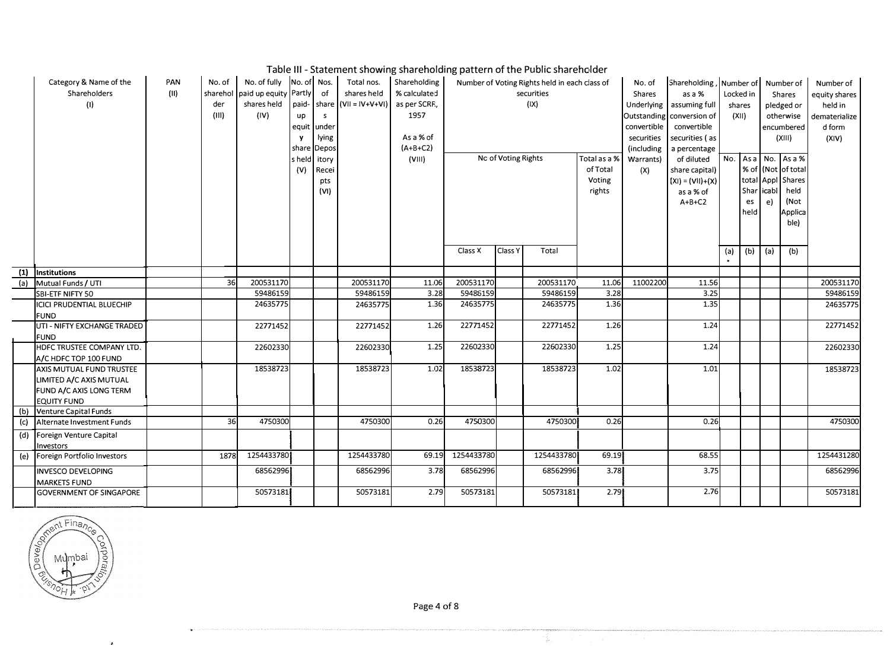### Table Ill - Statement showing shareholding pattern of the Public shareholder

|     | Category & Name of the<br>Shareholders<br>(1)                                                        | PAN<br>(11) | No. of<br>sharehol<br>der<br>(III) | No. of fully No. of Nos.<br>paid up equity Partly<br>shares held<br>(IV) | paid-<br>up<br>equit<br>y<br>share | of<br>share<br>s<br>under<br>lying<br>Depos | Total nos.<br>shares held<br>$(V   =  V + V + V )$ | Shareholding<br>% calculated<br>as per SCRF.,<br>1957<br>As a % of<br>$(A+B+C2)$ |            | Number of Voting Rights held in each class of<br>No. of<br>securities<br><b>Shares</b><br>as a %<br>(IX)<br>Underlying<br>assuming full<br>Outstanding conversion of<br>convertible<br>convertible<br>securities<br>securities (as<br>(including<br>a percentage |            |                                              | Shareholding, Number of Number of<br>Locked in<br>Shares<br>shares<br>pledged or<br>(X  )<br>otherwise<br>encumbered<br>(XIII) |                                                                             |     | Number of<br>equity shares<br>held in<br>dematerialize<br>d form<br>(X V) |    |                                                                                                |            |
|-----|------------------------------------------------------------------------------------------------------|-------------|------------------------------------|--------------------------------------------------------------------------|------------------------------------|---------------------------------------------|----------------------------------------------------|----------------------------------------------------------------------------------|------------|------------------------------------------------------------------------------------------------------------------------------------------------------------------------------------------------------------------------------------------------------------------|------------|----------------------------------------------|--------------------------------------------------------------------------------------------------------------------------------|-----------------------------------------------------------------------------|-----|---------------------------------------------------------------------------|----|------------------------------------------------------------------------------------------------|------------|
|     |                                                                                                      |             |                                    |                                                                          | s held<br>(V)                      | itory<br>Recei<br>pts<br>(VI)               |                                                    | (VIII)                                                                           |            | No of Voting Rights                                                                                                                                                                                                                                              |            | Total as a %<br>of Total<br>Voting<br>rights | Warrants)<br>(X)                                                                                                               | of diluted<br>share capital)<br>$(XI) = (VII)+(X)$<br>as a % of<br>$A+B+C2$ | No. | Shar   icabl  <br>es<br>held                                              | e) | $Asa$ No. $Asa%$<br>% of (Not of total<br>total Appl Shares<br>held<br>(Not<br>Applica<br>ble) |            |
|     |                                                                                                      |             |                                    |                                                                          |                                    |                                             |                                                    |                                                                                  | Class X    | Class Y                                                                                                                                                                                                                                                          | Total      |                                              |                                                                                                                                |                                                                             | (a) | (b)   (a)                                                                 |    | (b)                                                                                            |            |
|     | (1) Institutions                                                                                     |             |                                    |                                                                          |                                    |                                             |                                                    |                                                                                  |            |                                                                                                                                                                                                                                                                  |            |                                              |                                                                                                                                |                                                                             |     |                                                                           |    |                                                                                                |            |
| (a) | Mutual Funds / UTI                                                                                   |             | 36                                 | 200531170                                                                |                                    |                                             | 200531170                                          | 11.06                                                                            | 200531170  |                                                                                                                                                                                                                                                                  | 200531170  | 11.06                                        | 11002200                                                                                                                       | 11.56                                                                       |     |                                                                           |    |                                                                                                | 200531170  |
|     | SBI-ETF NIFTY 50                                                                                     |             |                                    | 59486159                                                                 |                                    |                                             | 59486159                                           | 3.28                                                                             | 59486159   |                                                                                                                                                                                                                                                                  | 59486159   | 3.28                                         |                                                                                                                                | 3.25                                                                        |     |                                                                           |    |                                                                                                | 59486159   |
|     | ICICI PRUDENTIAL BLUECHIP<br><b>FUND</b>                                                             |             |                                    | 24635775                                                                 |                                    |                                             | 24635775                                           | 1.36                                                                             | 24635775   |                                                                                                                                                                                                                                                                  | 24635775   | 1.36                                         |                                                                                                                                | 1.35                                                                        |     |                                                                           |    |                                                                                                | 24635775   |
|     | UTI - NIFTY EXCHANGE TRADED<br><b>FUND</b>                                                           |             |                                    | 22771452                                                                 |                                    |                                             | 22771452                                           | 1.26                                                                             | 22771452   |                                                                                                                                                                                                                                                                  | 22771452   | 1.26                                         |                                                                                                                                | 1.24                                                                        |     |                                                                           |    |                                                                                                | 22771452   |
|     | HDFC TRUSTEE COMPANY LTD.<br>A/C HDFC TOP 100 FUND                                                   |             |                                    | 22602330                                                                 |                                    |                                             | 22602330                                           | 1.25                                                                             | 22602330   |                                                                                                                                                                                                                                                                  | 22602330   | 1.25                                         |                                                                                                                                | 1.24                                                                        |     |                                                                           |    |                                                                                                | 22602330   |
|     | AXIS MUTUAL FUND TRUSTEE<br>LIMITED A/C AXIS MUTUAL<br>FUND A/C AXIS LONG TERM<br><b>EQUITY FUND</b> |             |                                    | 18538723                                                                 |                                    |                                             | 18538723                                           | 1.02                                                                             | 18538723   |                                                                                                                                                                                                                                                                  | 18538723   | 1.02                                         |                                                                                                                                | 1.01                                                                        |     |                                                                           |    |                                                                                                | 18538723   |
| (b) | Venture Capital Funds                                                                                |             |                                    |                                                                          |                                    |                                             |                                                    |                                                                                  |            |                                                                                                                                                                                                                                                                  |            |                                              |                                                                                                                                |                                                                             |     |                                                                           |    |                                                                                                |            |
| (c) | Alternate Investment Funds                                                                           |             | 36                                 | 4750300                                                                  |                                    |                                             | 4750300                                            | 0.26                                                                             | 4750300    |                                                                                                                                                                                                                                                                  | 4750300    | 0.26                                         |                                                                                                                                | 0.26                                                                        |     |                                                                           |    |                                                                                                | 4750300    |
| (d) | Foreign Venture Capital<br>Investors                                                                 |             |                                    |                                                                          |                                    |                                             |                                                    |                                                                                  |            |                                                                                                                                                                                                                                                                  |            |                                              |                                                                                                                                |                                                                             |     |                                                                           |    |                                                                                                |            |
| (e) | Foreign Portfolio Investors                                                                          |             | 1878                               | 1254433780                                                               |                                    |                                             | 1254433780                                         | 69.19                                                                            | 1254433730 |                                                                                                                                                                                                                                                                  | 1254433780 | 69.19                                        |                                                                                                                                | 68.55                                                                       |     |                                                                           |    |                                                                                                | 1254431280 |
|     | <b>INVESCO DEVELOPING</b><br><b>MARKETS FUND</b>                                                     |             |                                    | 68562996                                                                 |                                    |                                             | 68562996                                           | 3.78                                                                             | 68562996   |                                                                                                                                                                                                                                                                  | 68562996   | 3.78                                         |                                                                                                                                | 3.75                                                                        |     |                                                                           |    |                                                                                                | 68562996   |
|     | <b>GOVERNMENT OF SINGAPORE</b>                                                                       |             |                                    | 50573181                                                                 |                                    |                                             | 50573181                                           | 2.79                                                                             | 50573181   |                                                                                                                                                                                                                                                                  | 50573181   | 2.79                                         |                                                                                                                                | 2.76                                                                        |     |                                                                           |    |                                                                                                | 50573181   |



Page 4 of 8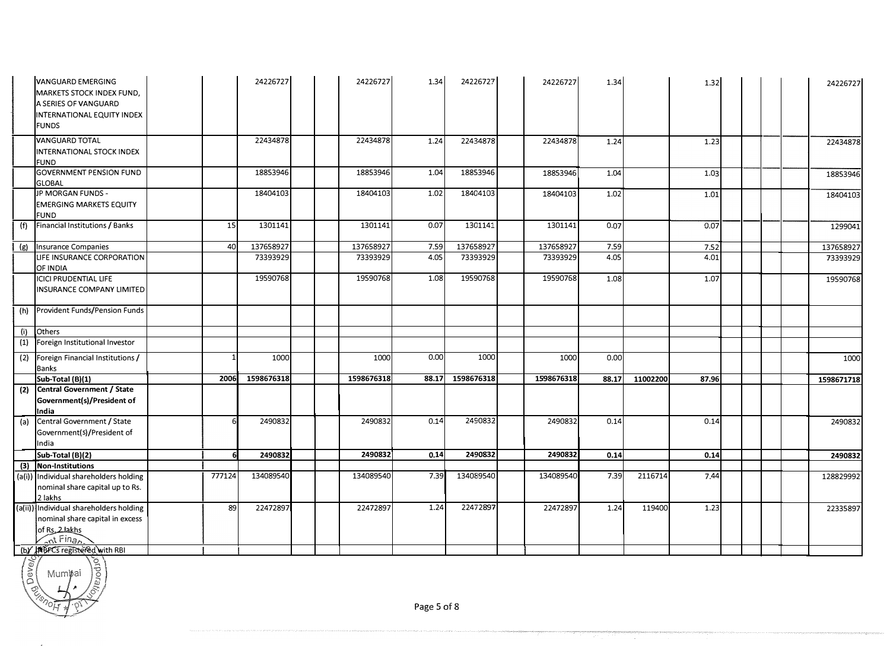|     | <b>VANGUARD EMERGING</b><br>MARKETS STOCK INDEX FUND.<br>A SERIES OF VANGUARD<br>INTERNATIONAL EQUITY INDEX<br><b>FUNDS</b>                        |        | 24226727   | 24226727   | 1.34  | 24226727   | 24226727   | 1.34  |          | 1.32  |  | 24226727   |
|-----|----------------------------------------------------------------------------------------------------------------------------------------------------|--------|------------|------------|-------|------------|------------|-------|----------|-------|--|------------|
|     | <b>VANGUARD TOTAL</b><br>INTERNATIONAL STOCK INDEX<br><b>FUND</b>                                                                                  |        | 22434878   | 22434878   | 1.24  | 22434878   | 22434878   | 1.24  |          | 1.23  |  | 22434878   |
|     | <b>GOVERNMENT PENSION FUND</b><br><b>GLOBAL</b>                                                                                                    |        | 18853946   | 18853946   | 1.04  | 18853946   | 18853946   | 1.04  |          | 1.03  |  | 18853946   |
|     | JP MORGAN FUNDS -<br><b>EMERGING MARKETS EQUITY</b><br>FUND                                                                                        |        | 18404103   | 18404103   | 1.02  | 18404103   | 18404103   | 1.02  |          | 1.01  |  | 18404103   |
| (f) | Financial Institutions / Banks                                                                                                                     | 15     | 1301141    | 1301141    | 0.07  | 1301141    | 1301141    | 0.07  |          | 0.07  |  | 1299041    |
| (g) | Insurance Companies                                                                                                                                | 40     | 137658927  | 137658927  | 7.59  | 137658927  | 137658927  | 7.59  |          | 7.52  |  | 137658927  |
|     | LIFE INSURANCE CORPORATION<br>OF INDIA                                                                                                             |        | 73393929   | 73393929   | 4.05  | 73393929   | 73393929   | 4.05  |          | 4.01  |  | 73393929   |
|     | ICICI PRUDENTIAL LIFE<br>INSURANCE COMPANY LIMITED                                                                                                 |        | 19590768   | 19590768   | 1.08  | 19590768   | 19590768   | 1.08  |          | 1.07  |  | 19590768   |
| (h) | Provident Funds/Pension Funds                                                                                                                      |        |            |            |       |            |            |       |          |       |  |            |
| (i) | Others                                                                                                                                             |        |            |            |       |            |            |       |          |       |  |            |
| (1) | Foreign Institutional Investor                                                                                                                     |        |            |            |       |            |            |       |          |       |  |            |
| (2) | Foreign Financial Institutions /<br>Banks                                                                                                          |        | 1000       | 1000       | 0.00  | 1000       | 1000       | 0.00  |          |       |  | 1000       |
|     | Sub-Total (B)(1)                                                                                                                                   | 2006   | 1598676318 | 1598676318 | 88.17 | 1598676318 | 1598676318 | 88.17 | 11002200 | 87.96 |  | 1598671718 |
| (2) | Central Government / State<br>Government(s)/President of<br>India                                                                                  |        |            |            |       |            |            |       |          |       |  |            |
| (a) | Central Government / State<br>Government(s)/President of<br>India                                                                                  |        | 2490832    | 2490832    | 0.14  | 2490832    | 2490832    | 0.14  |          | 0.14  |  | 2490832    |
|     | Sub-Total (B)(2)                                                                                                                                   |        | 2490832    | 2490832    | 0.14  | 2490832    | 2490832    | 0.14  |          | 0.14  |  | 2490832    |
| (3) | Non-Institutions                                                                                                                                   |        |            |            |       |            |            |       |          |       |  |            |
|     | (a(i)) Individual shareholders holding<br>nominal share capital up to Rs.<br>2 lakhs                                                               | 777124 | 134089540  | 134089540  | 7.39  | 134089540  | 134089540  | 7.39  | 2116714  | 7.44  |  | 128829992  |
|     | (a(ii)) Individual shareholders holding<br>nominal share capital in excess<br>of Rs. 2 lakhs<br>$\sqrt{nt}$ Finan<br>(b) MBFCs registered with RBI | 89     | 22472897   | 22472897   | 1.24  | 22472897   | 22472897   | 1.24  | 119400   | 1.23  |  | 22335897   |



*'-r'* 

man<br>19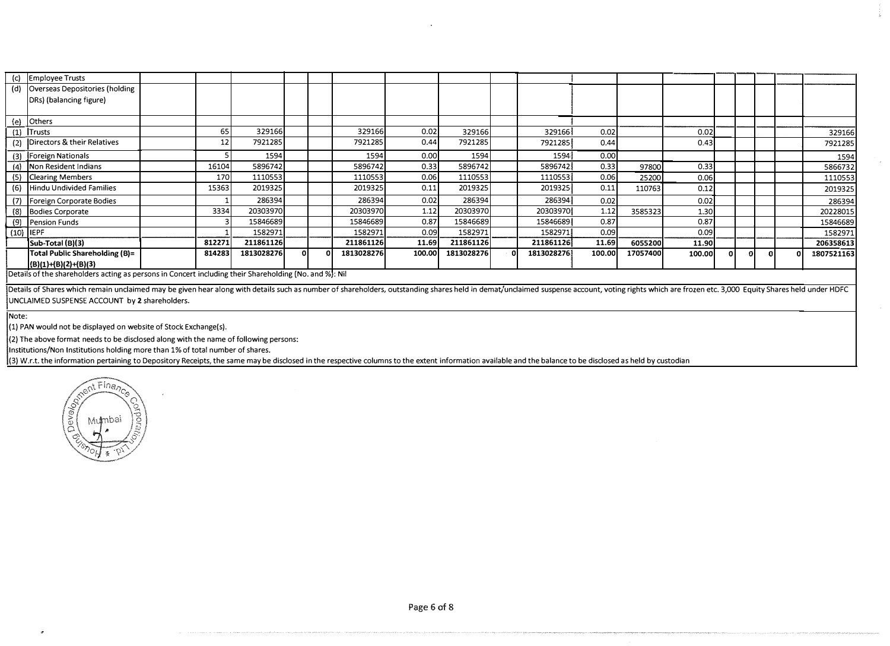|                                                                                                                                                                                                                                                                                                                                                                                                                       | 65     | 329166   |                                          |                                    |         | 0.02                                                                                                                    | 329166                                                                                            |     | 329166  | 0.02   |                                                                                         | 0.02  |        |    | 329166     |
|-----------------------------------------------------------------------------------------------------------------------------------------------------------------------------------------------------------------------------------------------------------------------------------------------------------------------------------------------------------------------------------------------------------------------|--------|----------|------------------------------------------|------------------------------------|---------|-------------------------------------------------------------------------------------------------------------------------|---------------------------------------------------------------------------------------------------|-----|---------|--------|-----------------------------------------------------------------------------------------|-------|--------|----|------------|
|                                                                                                                                                                                                                                                                                                                                                                                                                       | 12     | 7921285  |                                          |                                    | 7921285 | 0.44                                                                                                                    | 7921285                                                                                           |     | 7921285 | 0.44   |                                                                                         | 0.43  |        |    | 7921285    |
|                                                                                                                                                                                                                                                                                                                                                                                                                       |        | 1594     |                                          |                                    | 1594    | 0.00                                                                                                                    | 1594                                                                                              |     |         | 0.00   |                                                                                         |       |        |    | 1594       |
|                                                                                                                                                                                                                                                                                                                                                                                                                       |        |          |                                          |                                    |         | 0.33                                                                                                                    | 5896742                                                                                           |     |         | 0.33   | 97800                                                                                   | 0.33  |        |    | 5866732    |
|                                                                                                                                                                                                                                                                                                                                                                                                                       |        | 1110553  |                                          |                                    | 1110553 | 0.06                                                                                                                    | 1110553                                                                                           |     |         | 0.06   | 25200                                                                                   | 0.06  |        |    | 1110553    |
|                                                                                                                                                                                                                                                                                                                                                                                                                       |        | 2019325  |                                          |                                    | 2019325 | 0.11                                                                                                                    | 2019325                                                                                           |     | 2019325 | 0.11   | 110763                                                                                  | 0.12  |        |    | 2019325    |
|                                                                                                                                                                                                                                                                                                                                                                                                                       |        | 286394   |                                          |                                    |         | 0.02                                                                                                                    | 286394                                                                                            |     |         | 0.02   |                                                                                         | 0.02  |        |    | 286394     |
|                                                                                                                                                                                                                                                                                                                                                                                                                       |        | 20303970 |                                          |                                    |         | 1.12                                                                                                                    | 20303970                                                                                          |     |         | 1.12   | 3585323                                                                                 | 1.30  |        |    | 20228015   |
|                                                                                                                                                                                                                                                                                                                                                                                                                       |        | 15846689 |                                          |                                    |         | 0.87                                                                                                                    | 15846689                                                                                          |     |         | 0.87   |                                                                                         | 0.87  |        |    | 15846689   |
|                                                                                                                                                                                                                                                                                                                                                                                                                       |        | 1582971  |                                          |                                    | 1582971 | 0.09                                                                                                                    | 1582971                                                                                           |     | 1582971 | 0.09   |                                                                                         | 0.09  |        |    | 1582971    |
|                                                                                                                                                                                                                                                                                                                                                                                                                       | 812271 |          |                                          |                                    |         |                                                                                                                         | 211861126                                                                                         |     |         | 11.69  | 6055200                                                                                 | 11.90 |        |    | 206358613  |
|                                                                                                                                                                                                                                                                                                                                                                                                                       |        |          |                                          |                                    |         |                                                                                                                         | 1813028276                                                                                        | 0 I |         | 100.00 | 17057400                                                                                |       |        |    | 1807521163 |
|                                                                                                                                                                                                                                                                                                                                                                                                                       |        |          |                                          |                                    |         |                                                                                                                         |                                                                                                   |     |         |        |                                                                                         |       |        |    |            |
| <b>Employee Trusts</b><br>Overseas Depositories (holding<br>DRs) (balancing figure)<br>Others<br>Trusts<br>Directors & their Relatives<br>Foreign Nationals<br>Non Resident Indians<br><b>Clearing Members</b><br>Hindu Undivided Families<br>Foreign Corporate Bodies<br>(8) Bodies Corporate<br>(9) Pension Funds<br>$(10)$  IEPF<br>Sub-Total (B)(3)<br>Total Public Shareholding (B)=<br>$ (B)(1)+(B)(2)+(B)(3) $ |        |          | 16104<br>170I<br>15363<br>3334<br>814283 | 5896742<br>211861126<br>1813028276 | οI      | $\overline{1}$ Details of the shareholders action as norsens in Concert including their Shareholding (No. and B/L, Nii) | 329166<br>5896742<br>286394<br>20303970<br>15846689<br>11.69<br>211861126<br>1813028276<br>100.00 |     |         |        | 1594<br>5896742<br>1110553<br>286394<br>20303970<br>15846689<br>211861126<br>1813028276 |       | 100,00 | ΩL |            |

Details of the shareholders acting as persons in Concert including their Shareholding (No. and %): Nil

Details of Shares which remain unclaimed may be given hear along with details such as number of shareholders, outstanding shares held in demat/unclaimed suspense account, voting rights which are frozen etc. 3,000 Equity Sh UNCIAIMED SUSPENSE ACCOUNT by **2** shareholders.

Note:

(1) PAN would not be displayed on website of Stock Exchange(s).

(2) The above format needs to be disclosed along with the name of following persons:

Institutions/Non Institutions holding more than 1% of total number of shares.

(3) W.r.t. the information pertaining to Depository Receipts, the same may be disclosed in the respective columns to the extent information available and the balance to be disclosed as held by custodian

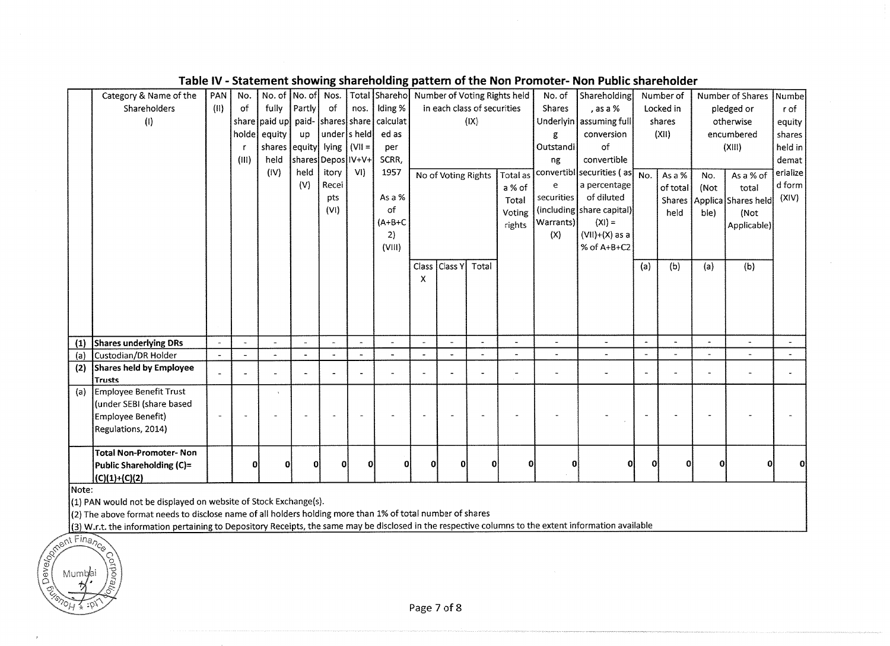|       | Category & Name of the                                          | PAN                   | No.                  |                                | No. of No. of            | Nos.                  |                | Total Shareho Number of Voting Rights held         |                       |                             |                       |                | No. of               | Shareholding              |                          | Number of     |              | Number of Shares    | Numbe          |
|-------|-----------------------------------------------------------------|-----------------------|----------------------|--------------------------------|--------------------------|-----------------------|----------------|----------------------------------------------------|-----------------------|-----------------------------|-----------------------|----------------|----------------------|---------------------------|--------------------------|---------------|--------------|---------------------|----------------|
|       | Shareholders                                                    | (11)                  | of                   | fully                          | Partly                   | of                    | nos.           | Iding %                                            |                       | in each class of securities |                       |                | <b>Shares</b>        | , as a %                  |                          | Locked in     |              | pledged or          | r of           |
|       | (1)                                                             |                       |                      |                                |                          |                       |                | share   paid up  paid-   shares   share   calculat |                       |                             | (IX)                  |                |                      | Underlyin   assuming full |                          | shares        |              | otherwise           | equity         |
|       |                                                                 |                       | holde                | equity                         | up                       | under s held          |                | ed as                                              |                       |                             |                       |                | g                    | conversion                |                          | (XII)         |              | encumbered          | shares         |
|       |                                                                 |                       |                      | shares equity lying $ $ (VII = |                          |                       |                | per                                                |                       |                             |                       |                | Outstandi            | of                        |                          |               |              | (XIII)              | held in        |
|       |                                                                 |                       | (III)                | held                           | shares Depos IV+V+       |                       |                | SCRR,                                              |                       |                             |                       |                | ng                   | convertible               |                          |               |              |                     | demat          |
|       |                                                                 |                       |                      | (IV)                           | held                     | itory                 | VI             | 1957                                               |                       | No of Voting Rights         |                       | Total as       |                      | convertibl securities (as | No.                      | As a %        | No.          | As a % of           | erialize       |
|       |                                                                 |                       |                      |                                | (V)                      | Recei                 |                |                                                    |                       |                             |                       | a % of         | e                    | a percentage              |                          | of total      | (Not         | total               | d form         |
|       |                                                                 |                       |                      |                                |                          | pts                   |                | As a %                                             |                       |                             |                       | Total          | securities           | of diluted                |                          | <b>Shares</b> |              | Applica Shares held | (XIV)          |
|       |                                                                 |                       |                      |                                |                          | (VI)                  |                | of                                                 |                       |                             |                       | Voting         |                      | (including share capital) |                          | held          | ble)         | (Not                |                |
|       |                                                                 |                       |                      |                                |                          |                       |                | $(A+B+C)$                                          |                       |                             |                       | rights         | Warrants)            | $(XI) =$                  |                          |               |              | Applicable)         |                |
|       |                                                                 |                       |                      |                                |                          |                       |                | 2)                                                 |                       |                             |                       |                | (X)                  | $(VII)+(X)$ as a          |                          |               |              |                     |                |
|       |                                                                 |                       |                      |                                |                          |                       |                | (VIII)                                             |                       |                             |                       |                |                      | % of A+B+C2               |                          |               |              |                     |                |
|       |                                                                 |                       |                      |                                |                          |                       |                |                                                    | <b>Class</b>          | <b>Class Y</b>              | Total                 |                |                      |                           | (a)                      | (b)           | (a)          | (b)                 |                |
|       |                                                                 |                       |                      |                                |                          |                       |                |                                                    | х                     |                             |                       |                |                      |                           |                          |               |              |                     |                |
|       |                                                                 |                       |                      |                                |                          |                       |                |                                                    |                       |                             |                       |                |                      |                           |                          |               |              |                     |                |
|       |                                                                 |                       |                      |                                |                          |                       |                |                                                    |                       |                             |                       |                |                      |                           |                          |               |              |                     |                |
|       |                                                                 |                       |                      |                                |                          |                       |                |                                                    |                       |                             |                       |                |                      |                           |                          |               |              |                     |                |
|       |                                                                 |                       |                      |                                |                          |                       |                |                                                    |                       |                             |                       |                |                      |                           |                          |               |              |                     |                |
| (1)   | <b>Shares underlying DRs</b>                                    | $\tilde{\phantom{a}}$ | $\ddot{\phantom{1}}$ |                                | $\overline{\phantom{a}}$ | $\tilde{\phantom{a}}$ |                |                                                    | $\tilde{\phantom{a}}$ |                             | $\tilde{\phantom{a}}$ | L.             | ÷,                   | $\overline{\phantom{a}}$  |                          |               |              |                     |                |
| (a)   | Custodian/DR Holder                                             | $\sim$                |                      |                                |                          | $\ddot{\phantom{1}}$  | $\overline{a}$ |                                                    | $\overline{a}$        | $\overline{a}$              | $\blacksquare$        | $\blacksquare$ | $\blacksquare$       | $\blacksquare$            | $\overline{\phantom{a}}$ |               |              |                     | $\blacksquare$ |
| (2)   | Shares held by Employee                                         |                       |                      |                                | $\blacksquare$           |                       |                |                                                    |                       |                             |                       |                | $\ddot{\phantom{1}}$ | $\overline{\phantom{m}}$  | $\overline{a}$           |               |              |                     |                |
|       | <b>Trusts</b>                                                   |                       |                      |                                |                          |                       |                |                                                    |                       |                             |                       |                |                      |                           |                          |               |              |                     |                |
| (a)   | Employee Benefit Trust                                          |                       |                      |                                |                          |                       |                |                                                    |                       |                             |                       |                |                      |                           |                          |               |              |                     |                |
|       | (under SEBI (share based                                        |                       |                      |                                |                          |                       |                |                                                    |                       |                             |                       |                |                      |                           |                          |               |              |                     |                |
|       | Employee Benefit)<br>Regulations, 2014)                         |                       |                      |                                |                          |                       |                |                                                    |                       |                             |                       |                |                      |                           |                          |               |              |                     |                |
|       |                                                                 |                       |                      |                                |                          |                       |                |                                                    |                       |                             |                       |                |                      |                           |                          |               |              |                     |                |
|       | <b>Total Non-Promoter-Non</b>                                   |                       |                      |                                |                          |                       |                |                                                    |                       |                             |                       |                |                      |                           |                          |               |              |                     |                |
|       | Public Shareholding (C)=                                        |                       | O                    | 01                             | $\bf{0}$                 | 0                     | $\mathbf{0}$   | ΩI                                                 | 0                     | $\Omega$                    | $\mathbf 0$           | Ω              | 0                    | $\mathbf{0}$              | Ω                        | $\Omega$      | $\mathbf{0}$ |                     | Ω              |
|       | $ (C)(1)+(C)(2) $                                               |                       |                      |                                |                          |                       |                |                                                    |                       |                             |                       |                |                      |                           |                          |               |              |                     |                |
| Note: |                                                                 |                       |                      |                                |                          |                       |                |                                                    |                       |                             |                       |                |                      |                           |                          |               |              |                     |                |
|       | (1) PAN would not be displayed on website of Stock Exchange(s). |                       |                      |                                |                          |                       |                |                                                    |                       |                             |                       |                |                      |                           |                          |               |              |                     |                |

#### Table IV - Statement showing shareholding pattern of the Non Promoter- Non Public shareholder

(2) The above format needs to disclose name of all holders holding more than 1% of total number of shares

(3) W.r.t. the information pertaining to Depository Receipts, the same may be disclosed in the respective columns to the extent information available